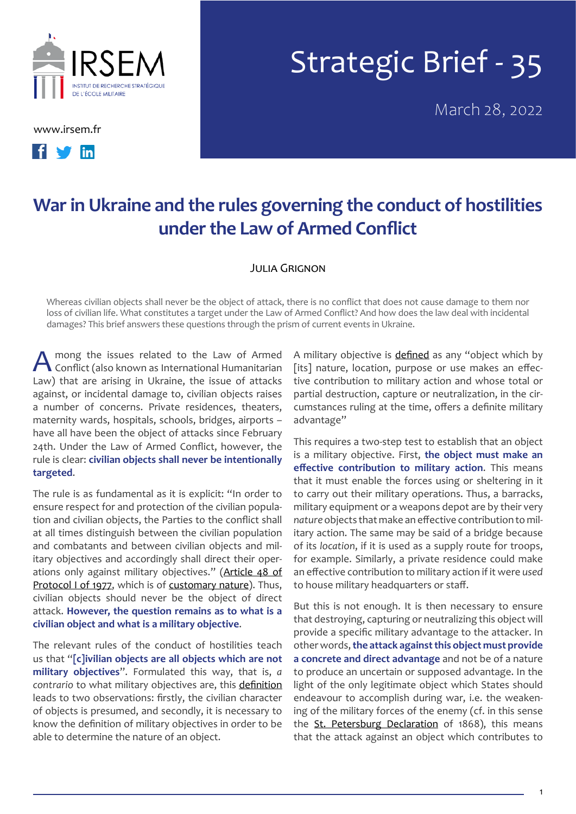

[www.irsem.fr](http://www.irsem.fr)



## Strategic Brief - 35

March 28, 2022

## **War in Ukraine and the rules governing the conduct of hostilities under the Law of Armed Conflict**

## Julia Grignon

Whereas civilian objects shall never be the object of attack, there is no conflict that does not cause damage to them nor loss of civilian life. What constitutes a target under the Law of Armed Conflict? And how does the law deal with incidental damages? This brief answers these questions through the prism of current events in Ukraine.

A mong the issues related to the Law of Armed<br>
Conflict (also known as International Humanitarian Law) that are arising in Ukraine, the issue of attacks against, or incidental damage to, civilian objects raises a number of concerns. Private residences, theaters, maternity wards, hospitals, schools, bridges, airports – have all have been the object of attacks since February 24th. Under the Law of Armed Conflict, however, the rule is clear: **civilian objects shall never be intentionally targeted**.

The rule is as fundamental as it is explicit: "In order to ensure respect for and protection of the civilian population and civilian objects, the Parties to the conflict shall at all times distinguish between the civilian population and combatants and between civilian objects and military objectives and accordingly shall direct their operations only against military objectives." (Article 48 of [Protocol I of 1977,](https://ihl-databases.icrc.org/applic/ihl/ihl.nsf/Article.xsp?action=openDocument&documentId=8A9E7E14C63C7F30C12563CD0051DC5C) which is of [customary nature](https://ihl-databases.icrc.org/customary-ihl/eng/docs/v1_rul_rule7)). Thus, civilian objects should never be the object of direct attack. **However, the question remains as to what is a civilian object and what is a military objective**.

The relevant rules of the conduct of hostilities teach us that "**[c]ivilian objects are all objects which are not military objectives**". Formulated this way, that is, *a contrario* to what military objectives are, this [definition](https://ihl-databases.icrc.org/applic/ihl/ihl.nsf/Article.xsp?action=openDocument&documentId=F08A9BC78AE360B3C12563CD0051DCD4) leads to two observations: firstly, the civilian character of objects is presumed, and secondly, it is necessary to know the definition of military objectives in order to be able to determine the nature of an object.

A military objective is [defined](https://ihl-databases.icrc.org/applic/ihl/ihl.nsf/Article.xsp?action=openDocument&documentId=F08A9BC78AE360B3C12563CD0051DCD4) as any "object which by [its] nature, location, purpose or use makes an effective contribution to military action and whose total or partial destruction, capture or neutralization, in the circumstances ruling at the time, offers a definite military advantage"

This requires a two-step test to establish that an object is a military objective. First, **the object must make an effective contribution to military action**. This means that it must enable the forces using or sheltering in it to carry out their military operations. Thus, a barracks, military equipment or a weapons depot are by their very *nature* objects that make an effective contribution to military action. The same may be said of a bridge because of its *location*, if it is used as a supply route for troops, for example. Similarly, a private residence could make an effective contribution to military action if it were *used* to house military headquarters or staff.

But this is not enough. It is then necessary to ensure that destroying, capturing or neutralizing this object will provide a specific military advantage to the attacker. In other words, **the attack against this object must provide a concrete and direct advantage** and not be of a nature to produce an uncertain or supposed advantage. In the light of the only legitimate object which States should endeavour to accomplish during war, i.e. the weakening of the military forces of the enemy (cf. in this sense the [St. Petersburg Declaration](https://ihl-databases.icrc.org/applic/ihl/ihl.nsf/Article.xsp?action=openDocument&documentId=568842C2B90F4A29C12563CD0051547C) of 1868), this means that the attack against an object which contributes to